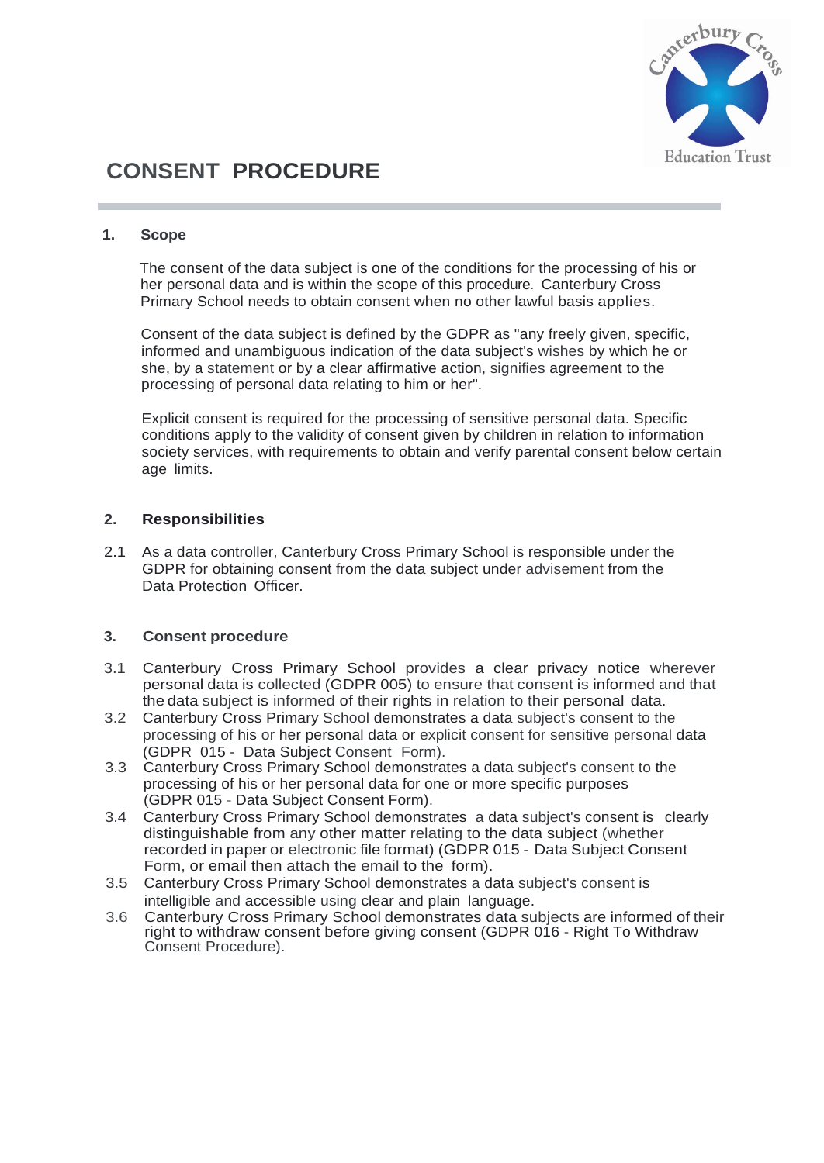

## **CONSENT PROCEDURE**

## **1. Scope**

The consent of the data subject is one of the conditions for the processing of his or her personal data and is within the scope of this procedure. Canterbury Cross Primary School needs to obtain consent when no other lawful basis applies.

Consent of the data subject is defined by the GDPR as "any freely given, specific, informed and unambiguous indication of the data subject's wishes by which he or she, by a statement or by a clear affirmative action, signifies agreement to the processing of personal data relating to him or her".

Explicit consent is required for the processing of sensitive personal data. Specific conditions apply to the validity of consent given by children in relation to information society services, with requirements to obtain and verify parental consent below certain age limits.

## **2. Responsibilities**

2.1 As a data controller, Canterbury Cross Primary School is responsible under the GDPR for obtaining consent from the data subject under advisement from the Data Protection Officer.

## **3. Consent procedure**

- 3.1 Canterbury Cross Primary School provides a clear privacy notice wherever personal data is collected (GDPR 005) to ensure that consent is informed and that the data subject is informed of their rights in relation to their personal data.
- 3.2 Canterbury Cross Primary School demonstrates a data subject's consent to the processing of his or her personal data or explicit consent for sensitive personal data (GDPR 015 - Data Subject Consent Form).
- 3.3 Canterbury Cross Primary School demonstrates a data subject's consent to the processing of his or her personal data for one or more specific purposes (GDPR 015 - Data Subject Consent Form).
- 3.4 Canterbury Cross Primary School demonstrates a data subject's consent is clearly distinguishable from any other matter relating to the data subject (whether recorded in paper or electronic file format) (GDPR 015 - Data Subject Consent Form, or email then attach the email to the form).
- 3.5 Canterbury Cross Primary School demonstrates a data subject's consent is intelligible and accessible using clear and plain language.
- 3.6 Canterbury Cross Primary School demonstrates data subjects are informed of their right to withdraw consent before giving consent (GDPR 016 - Right To Withdraw Consent Procedure).